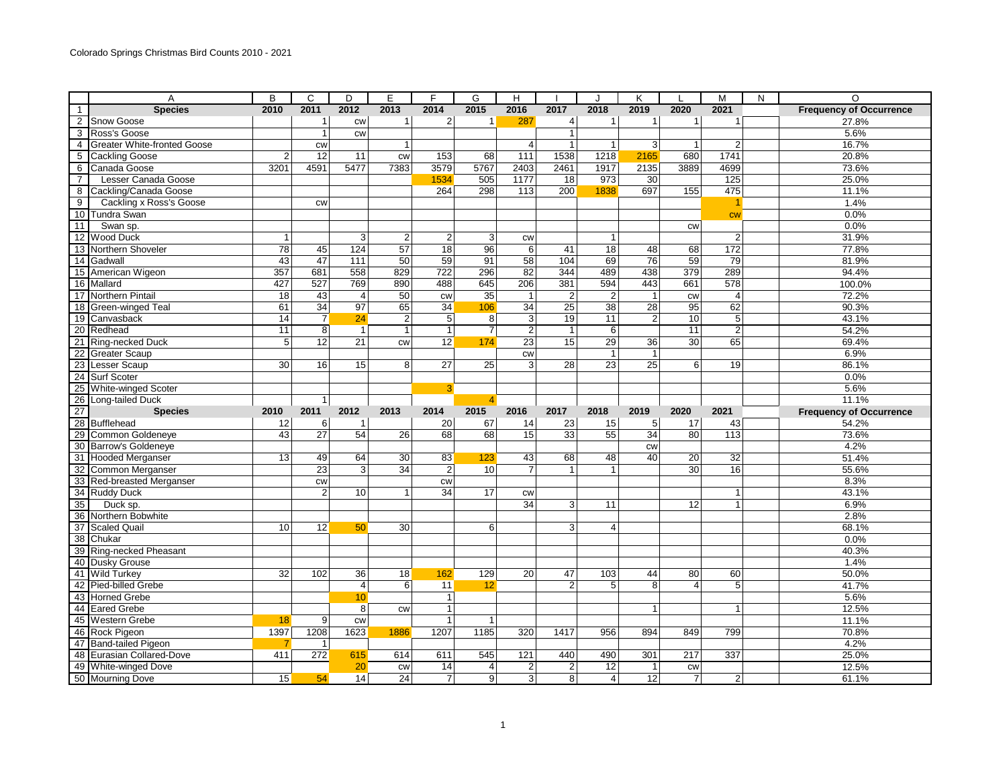|                 | A                                                                                                          | B    | C                  | D               | E               | F               | G               | H              |                |                  | K               |                 | M              | N | $\Omega$                       |
|-----------------|------------------------------------------------------------------------------------------------------------|------|--------------------|-----------------|-----------------|-----------------|-----------------|----------------|----------------|------------------|-----------------|-----------------|----------------|---|--------------------------------|
| $\mathbf{1}$    | <b>Species</b>                                                                                             | 2010 | 2011               | 2012            | 2013            | 2014            | 2015            | 2016           | 2017           | 2018             | 2019            | 2020            | 2021           |   | <b>Frequency of Occurrence</b> |
| $\overline{2}$  | <b>Snow Goose</b>                                                                                          |      | $\overline{1}$     | <b>CW</b>       | $\mathbf{1}$    | 2 <sub>l</sub>  | $\mathbf{1}$    | 287            | $\overline{4}$ | $\mathbf{1}$     | $\mathbf{1}$    | $\overline{1}$  | $\mathbf{1}$   |   | 27.8%                          |
| 3               | Ross's Goose                                                                                               |      | $\mathbf{1}$       | <b>CW</b>       |                 |                 |                 |                | $\mathbf{1}$   |                  |                 |                 |                |   | 5.6%                           |
| $\overline{4}$  | <b>Greater White-fronted Goose</b>                                                                         |      | <b>CW</b>          |                 | $\mathbf{1}$    |                 |                 | $\overline{4}$ | $\overline{1}$ | $\mathbf{1}$     | $\overline{3}$  | $\mathbf{1}$    | 2              |   | 16.7%                          |
| 5               | <b>Cackling Goose</b>                                                                                      | 2    | $\overline{12}$    | 11              | <b>CW</b>       | 153             | 68              | 111            | 1538           | 1218             | 2165            | 680             | 1741           |   | 20.8%                          |
| 6               | Canada Goose                                                                                               | 3201 | 4591               | 5477            | 7383            | 3579            | 5767            | 2403           | 2461           | 1917             | 2135            | 3889            | 4699           |   | 73.6%                          |
| $\overline{7}$  | <b>Lesser Canada Goose</b>                                                                                 |      |                    |                 |                 | 1534            | 505             | 1177           | 18             | 973              | 30              |                 | 125            |   | 25.0%                          |
| 8               | Cackling/Canada Goose                                                                                      |      |                    |                 |                 | 264             | 298             | 113            | 200            | 1838             | 697             | 155             | 475            |   | 11.1%                          |
| $\overline{9}$  | Cackling x Ross's Goose                                                                                    |      | <b>CW</b>          |                 |                 |                 |                 |                |                |                  |                 |                 |                |   | 1.4%                           |
| $\overline{10}$ | <b>Tundra Swan</b>                                                                                         |      |                    |                 |                 |                 |                 |                |                |                  |                 |                 | cw             |   | 0.0%                           |
|                 | Swan sp.                                                                                                   |      |                    |                 |                 |                 |                 |                |                |                  |                 | CW              |                |   | 0.0%                           |
| $\frac{11}{12}$ | <b>Wood Duck</b>                                                                                           | -1   |                    | 3               | $\overline{2}$  | $\overline{2}$  | 3               | cw             |                | $\mathbf{1}$     |                 |                 | $\overline{2}$ |   | 31.9%                          |
|                 | 13 Northern Shoveler                                                                                       | 78   | 45                 | 124             | 57              | 18              | 96              | 6              | 41             | 18               | 48              | 68              | 172            |   | 77.8%                          |
| $\frac{13}{14}$ | Gadwall                                                                                                    | 43   | 47                 | 111             | 50              | 59              | 91              | 58             | 104            | 69               | 76              | 59              | 79             |   | 81.9%                          |
|                 | 15 American Wigeon                                                                                         | 357  | 681                | 558             | 829             | 722             | 296             | 82             | 344            | 489              | 438             | 379             | 289            |   | 94.4%                          |
|                 | 16 Mallard                                                                                                 | 427  | 527                | 769             | 890             | 488             | 645             | 206            | 381            | 594              | 443             | 661             | 578            |   | 100.0%                         |
| $\frac{18}{17}$ | Northern Pintail                                                                                           | 18   | 43                 | $\overline{4}$  | 50              | <b>CW</b>       | $\overline{35}$ | $\mathbf{1}$   | $\overline{2}$ | $\boldsymbol{2}$ | $\mathbf{1}$    | CW              | $\overline{4}$ |   | 72.2%                          |
|                 | Green-winged Teal                                                                                          | 61   | 34                 | $\overline{97}$ | 65              | $\overline{34}$ | 106             | 34             | 25             | 38               | $\overline{28}$ | $\overline{95}$ | 62             |   | 90.3%                          |
|                 | 18 Green-wing<br>19 Canvasback<br>2 Salead                                                                 | 14   | $\overline{7}$     | 24              | $\overline{2}$  | 5               | 8               | $\mathbf{3}$   | 19             | 11               | $\overline{2}$  | 10              | 5              |   | 43.1%                          |
| $\frac{10}{20}$ |                                                                                                            | 11   | $\overline{\bf 8}$ | $\mathbf{1}$    | $\mathbf{1}$    | 1               | $\overline{7}$  | $\overline{c}$ | $\overline{1}$ | 6                |                 | 11              | $\overline{c}$ |   | 54.2%                          |
|                 | Ring-necked Duck                                                                                           | 5    | 12                 | 21              | cw              | 12              | 174             | 23             | 15             | 29               | 36              | 30              | 65             |   | 69.4%                          |
|                 | 22 Greater Scaup<br>23 Lesser Scaup<br>24 Surf Scoter<br>25 White-winged<br><b>Greater Scaup</b>           |      |                    |                 |                 |                 |                 | <b>CW</b>      |                | 1                | $\mathbf{1}$    |                 |                |   | 6.9%                           |
|                 |                                                                                                            | 30   | 16                 | 15              | 8 <sup>1</sup>  | $\overline{27}$ | 25              | 3              | 28             | $\overline{23}$  | $\overline{25}$ | 6               | 19             |   | 86.1%                          |
|                 |                                                                                                            |      |                    |                 |                 |                 |                 |                |                |                  |                 |                 |                |   | 0.0%                           |
|                 | <b>White-winged Scoter</b>                                                                                 |      |                    |                 |                 | 3 <sup>1</sup>  |                 |                |                |                  |                 |                 |                |   | 5.6%                           |
|                 |                                                                                                            |      | $\mathbf{1}$       |                 |                 |                 | 4               |                |                |                  |                 |                 |                |   | 11.1%                          |
|                 | 26 Long-tailed Duck<br>27 Sp<br>28 Bufflehead<br>29 Common Goldene<br><b>Species</b>                       | 2010 | 2011               | 2012            | 2013            | 2014            | 2015            | 2016           | 2017           | 2018             | 2019            | 2020            | 2021           |   | <b>Frequency of Occurrence</b> |
|                 |                                                                                                            | 12   | 6                  | $\mathbf{1}$    |                 | 20              | 67              | 14             | 23             | 15               | 5 <sup>5</sup>  | 17              | 43             |   | 54.2%                          |
|                 | Common Goldeneye                                                                                           | 43   | $\overline{27}$    | 54              | 26              | 68              | 68              | 15             | 33             | 55               | 34              | 80              | 113            |   | 73.6%                          |
|                 | 30 Barrow's Goldeneye<br>31 Hooded Merganser<br>32 Common Merganser                                        |      |                    |                 |                 |                 |                 |                |                |                  | cw              |                 |                |   | 4.2%                           |
|                 |                                                                                                            | 13   | 49                 | 64              | 30              | 83              | 123             | 43             | 68             | 48               | 40              | 20              | 32             |   | 51.4%                          |
|                 |                                                                                                            |      | $\overline{23}$    | $\overline{3}$  | $\overline{34}$ | $\overline{2}$  | 10              | $\overline{7}$ | $\mathbf{1}$   | $\mathbf{1}$     |                 | 30              | 16             |   | 55.6%                          |
|                 | 32 Common interganser<br>33 Red-breasted Merganser<br>34 Ruddy Duck<br>35 Duck sp.<br>36 Northern Bobwhite |      | <b>CW</b>          |                 |                 | <b>CW</b>       |                 |                |                |                  |                 |                 |                |   | 8.3%                           |
|                 |                                                                                                            |      | $\overline{2}$     | 10              | $\mathbf{1}$    | 34              | 17              | CW             |                |                  |                 |                 | $\mathbf{1}$   |   | 43.1%                          |
|                 |                                                                                                            |      |                    |                 |                 |                 |                 | 34             | $\mathbf{3}$   | 11               |                 | 12              | $\mathbf{1}$   |   | 6.9%                           |
|                 |                                                                                                            |      |                    |                 |                 |                 |                 |                |                |                  |                 |                 |                |   | 2.8%                           |
|                 | <b>Scaled Quail</b>                                                                                        | 10   | 12                 | 50              | 30              |                 | 6               |                | $\overline{3}$ | $\overline{4}$   |                 |                 |                |   | 68.1%                          |
| $\frac{37}{38}$ | Chukar                                                                                                     |      |                    |                 |                 |                 |                 |                |                |                  |                 |                 |                |   | 0.0%                           |
|                 | Ring-necked Pheasant                                                                                       |      |                    |                 |                 |                 |                 |                |                |                  |                 |                 |                |   | 40.3%                          |
|                 | 39 Ring-necked P<br>40 Dusky Grouse                                                                        |      |                    |                 |                 |                 |                 |                |                |                  |                 |                 |                |   | 1.4%                           |
|                 | 41 Wild Turkey                                                                                             | 32   | 102                | 36              | 18              | 162             | 129             | 20             | 47             | 103              | 44              | 80              | 60             |   | 50.0%                          |
| 42              | Pied-billed Grebe                                                                                          |      |                    | $\overline{4}$  | $6\overline{6}$ | 11              | 12              |                | $\overline{2}$ | 5                | 8               | $\overline{4}$  | 5              |   | 41.7%                          |
|                 | 43 Horned Grebe                                                                                            |      |                    | 10 <sup>°</sup> |                 | $\mathbf{1}$    |                 |                |                |                  |                 |                 |                |   | 5.6%                           |
|                 | 44 Eared Grebe                                                                                             |      |                    | 8               | <b>CW</b>       | $\mathbf{1}$    |                 |                |                |                  | -1              |                 | 1              |   | 12.5%                          |
|                 | 45 Western Grebe                                                                                           | 18   | 9                  | CW              |                 | $\mathbf{1}$    | $\mathbf 1$     |                |                |                  |                 |                 |                |   | 11.1%                          |
|                 | 46 Rock Pigeon                                                                                             | 1397 | 1208               | 1623            | 1886            | 1207            | 1185            | 320            | 1417           | 956              | 894             | 849             | 799            |   | 70.8%                          |
| $\frac{18}{47}$ | <b>Band-tailed Pigeon</b>                                                                                  |      | $\mathbf{1}$       |                 |                 |                 |                 |                |                |                  |                 |                 |                |   | 4.2%                           |
| $\overline{48}$ | Eurasian Collared-Dove                                                                                     | 411  | $\overline{272}$   | 615             | 614             | 611             | 545             | 121            | 440            | 490              | 301             | 217             | 337            |   | 25.0%                          |
| $\overline{49}$ | White-winged Dove                                                                                          |      |                    | 20              | <b>CW</b>       | 14              | $\overline{4}$  | $\overline{2}$ | $\overline{2}$ | 12               | $\mathbf{1}$    | <b>CW</b>       |                |   | 12.5%                          |
|                 | 50 Mourning Dove                                                                                           | 15   | 54                 | 14              | $\overline{24}$ | $\overline{7}$  | $\overline{9}$  | 3              | $\overline{8}$ | $\overline{4}$   | 12              | $\overline{7}$  | $\overline{2}$ |   | 61.1%                          |
|                 |                                                                                                            |      |                    |                 |                 |                 |                 |                |                |                  |                 |                 |                |   |                                |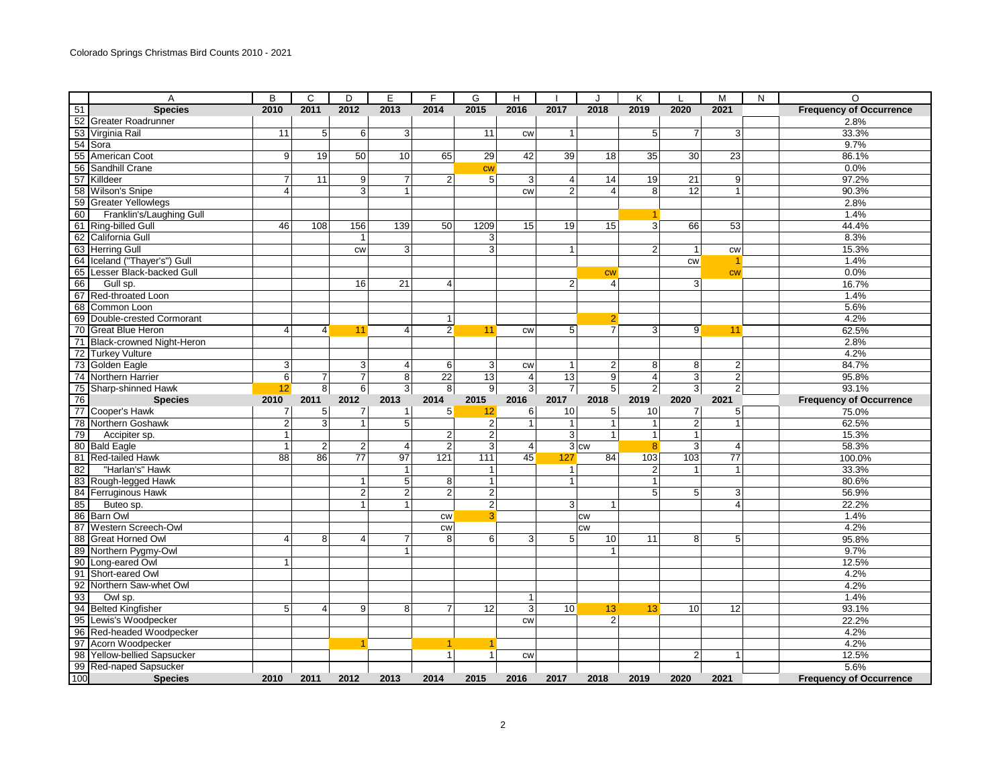|                 | Α                                                                                                                                                                                                                                                | B                       | C              | D              | E              | F              | G              | H              |                 |                | Κ               |                | M              | N | $\Omega$                       |
|-----------------|--------------------------------------------------------------------------------------------------------------------------------------------------------------------------------------------------------------------------------------------------|-------------------------|----------------|----------------|----------------|----------------|----------------|----------------|-----------------|----------------|-----------------|----------------|----------------|---|--------------------------------|
|                 | A<br>51 <b>Speci</b><br>52 Greater Roadrunner<br>53 Virginia Rail<br>54 Sora<br>55 American Coot<br>56 Sandhill Crane<br><b>Species</b>                                                                                                          | 2010                    | 2011           | 2012           | 2013           | 2014           | 2015           | 2016           | 2017            | 2018           | 2019            | 2020           | 2021           |   | <b>Frequency of Occurrence</b> |
|                 |                                                                                                                                                                                                                                                  |                         |                |                |                |                |                |                |                 |                |                 |                |                |   | 2.8%                           |
|                 |                                                                                                                                                                                                                                                  | 11                      | 5              | 6              | 3              |                | 11             | CW             | $\mathbf{1}$    |                | $5\phantom{.0}$ | $\overline{7}$ | 3 <sup>1</sup> |   | 33.3%                          |
|                 |                                                                                                                                                                                                                                                  |                         |                |                |                |                |                |                |                 |                |                 |                |                |   | 9.7%                           |
|                 |                                                                                                                                                                                                                                                  | 9 <sub>l</sub>          | 19             | 50             | 10             | 65             | 29             | 42             | 39              | 18             | 35              | 30             | 23             |   | 86.1%                          |
|                 |                                                                                                                                                                                                                                                  |                         |                |                |                |                | cw             |                |                 |                |                 |                |                |   | 0.0%                           |
|                 |                                                                                                                                                                                                                                                  | $\overline{7}$          | 11             | 9              | $\overline{7}$ | 2 <sup>1</sup> | 5              | 3              | $\overline{4}$  | 14             | 19              | 21             | 9              |   | 97.2%                          |
|                 |                                                                                                                                                                                                                                                  | 4                       |                | $\overline{3}$ | $\mathbf{1}$   |                |                | CW             | $\overline{2}$  | $\overline{4}$ | 8               | 12             | $\mathbf{1}$   |   | 90.3%                          |
|                 | <b>Greater Yellowlegs</b>                                                                                                                                                                                                                        |                         |                |                |                |                |                |                |                 |                |                 |                |                |   | 2.8%                           |
|                 | Franklin's/Laughing Gull                                                                                                                                                                                                                         |                         |                |                |                |                |                |                |                 |                | 1               |                |                |   | 1.4%                           |
|                 | 56 Sandhill Crane<br>57 Killdeer<br>58 Wilson's Snipe<br>59 Greater Yellowle<br>60 Franklin's/La<br>61 Ring-billed Gull<br>62 California Gull                                                                                                    | 46                      | 108            | 156            | 139            | 50             | 1209           | 15             | 19              | 15             | 3 <sup>1</sup>  | 66             | 53             |   | 44.4%                          |
|                 |                                                                                                                                                                                                                                                  |                         |                | 1              |                |                | 3              |                |                 |                |                 |                |                |   | 8.3%                           |
|                 |                                                                                                                                                                                                                                                  |                         |                | <b>CW</b>      | 3              |                | $\overline{3}$ |                | $\mathbf{1}$    |                | $\overline{2}$  | $\mathbf{1}$   | <b>CW</b>      |   | 15.3%                          |
|                 | 63 Herring Gull<br>64 Iceland ("Tha<br>65 Lesser Black<br>Iceland ("Thayer's") Gull                                                                                                                                                              |                         |                |                |                |                |                |                |                 |                |                 | <b>CW</b>      |                |   | 1.4%                           |
|                 | Lesser Black-backed Gull                                                                                                                                                                                                                         |                         |                |                |                |                |                |                |                 | <b>CW</b>      |                 |                | cw             |   | 0.0%                           |
|                 |                                                                                                                                                                                                                                                  |                         |                | 16             | 21             | $\overline{4}$ |                |                | $\overline{2}$  | 4              |                 | 3              |                |   | 16.7%                          |
|                 |                                                                                                                                                                                                                                                  |                         |                |                |                |                |                |                |                 |                |                 |                |                |   | 1.4%                           |
|                 |                                                                                                                                                                                                                                                  |                         |                |                |                |                |                |                |                 |                |                 |                |                |   | 5.6%                           |
|                 | 00 Lesser Black-Dacked Guil<br>66 Gull sp.<br>67 Red-throated Loon<br>68 Common Loon<br>69 Double-crested Cormorant                                                                                                                              |                         |                |                |                | 1              |                |                |                 | $\overline{2}$ |                 |                |                |   | 4.2%                           |
|                 | 70 Great Blue Heron<br>71 Black-crowned Night-Heron                                                                                                                                                                                              | $\vert$                 | $\overline{4}$ | 11             | $\overline{4}$ | $\overline{2}$ | 11             | CW             | 5 <sup>5</sup>  | $\overline{7}$ | $\overline{3}$  | 9              | 11             |   | 62.5%                          |
|                 |                                                                                                                                                                                                                                                  |                         |                |                |                |                |                |                |                 |                |                 |                |                |   | 2.8%                           |
|                 |                                                                                                                                                                                                                                                  |                         |                |                |                |                |                |                |                 |                |                 |                |                |   | 4.2%                           |
|                 |                                                                                                                                                                                                                                                  | 3                       |                | 3              | 4              | $6 \mid$       | 3              | CW             | $\mathbf{1}$    | 2              | 8               | 8              | $\overline{2}$ |   | 84.7%                          |
|                 |                                                                                                                                                                                                                                                  | 6                       | $\overline{7}$ | $\overline{7}$ | 8              | 22             | 13             | $\overline{4}$ | 13              | 9              | $\overline{4}$  | 3              | $\overline{c}$ |   | 95.8%                          |
|                 | Sharp-shinned Hawk                                                                                                                                                                                                                               | 12                      | $\overline{8}$ | 6              | $\mathbf{3}$   | 8 <sup>1</sup> | 9              | $\mathbf{3}$   | $\overline{7}$  | $\overline{5}$ | $\overline{2}$  | 3              | $\overline{2}$ |   | 93.1%                          |
|                 | 72 Turkey Vulture<br>73 Golden Eagle<br>74 Northern Harrier<br>75 Sharp-shinned Hi<br>76 Sharp-shinned Hi<br>77 Cooper's Hawk<br><b>Species</b>                                                                                                  | 2010                    | 2011           | 2012           | 2013           | 2014           | 2015           | 2016           | 2017            | 2018           | 2019            | 2020           | 2021           |   | <b>Frequency of Occurrence</b> |
|                 |                                                                                                                                                                                                                                                  | 7                       | 5              | $\overline{7}$ | $\mathbf{1}$   | 5 <sup>1</sup> | 12             | 6              | 10 <sup>1</sup> | 5              | 10              | $\overline{7}$ | 5              |   | 75.0%                          |
|                 | 78 Northern Goshawk                                                                                                                                                                                                                              | $\overline{2}$          | $\overline{3}$ | $\mathbf{1}$   | $\overline{5}$ |                | $\overline{c}$ | $\mathbf{1}$   | $\overline{1}$  | $\mathbf{1}$   | $\mathbf{1}$    | $\overline{2}$ | $\mathbf{1}$   |   | 62.5%                          |
|                 | 79 Accipiter<br>Accipiter sp.                                                                                                                                                                                                                    | $\overline{1}$          |                |                |                | $\overline{2}$ | $\overline{2}$ |                | $\overline{3}$  | 1              | $\mathbf{1}$    | $\mathbf{1}$   |                |   | 15.3%                          |
|                 |                                                                                                                                                                                                                                                  | $\overline{\mathbf{1}}$ | $\overline{c}$ | $\overline{2}$ | 4              | 2              | 3              | $\overline{a}$ |                 | $3$ cw         | 8               | 3              | 4              |   | 58.3%                          |
|                 | 81 Red-tailed Hawk                                                                                                                                                                                                                               | 88                      | 86             | 77             | 97             | 121            | 111            | 45             | 127             | 84             | 103             | 103            | 77             |   | 100.0%                         |
| 82              | "Harlan's" Hawk                                                                                                                                                                                                                                  |                         |                |                | $\mathbf{1}$   |                | $\mathbf{1}$   |                | $\vert$ 1       |                | $\overline{2}$  | $\mathbf{1}$   | $\mathbf{1}$   |   | 33.3%                          |
|                 | 83 Rough-legged Hawk                                                                                                                                                                                                                             |                         |                | $\mathbf{1}$   | 5              | 8 <sup>1</sup> | $\mathbf{1}$   |                | $\mathbf{1}$    |                | $\mathbf{1}$    |                |                |   | 80.6%                          |
|                 | 84 Ferruginous Hawk                                                                                                                                                                                                                              |                         |                | $\overline{2}$ | $\overline{2}$ | $\overline{2}$ | $\overline{2}$ |                |                 |                | 5               | 5              | 3              |   | 56.9%                          |
| 86<br>86        | Buteo sp.                                                                                                                                                                                                                                        |                         |                | 1              |                |                | $\overline{2}$ |                | $\overline{3}$  | 1              |                 |                | $\overline{4}$ |   | 22.2%                          |
|                 | <b>Barn Owl</b>                                                                                                                                                                                                                                  |                         |                |                |                | cw             | 3              |                |                 | <b>CW</b>      |                 |                |                |   | 1.4%                           |
| $\overline{87}$ | Western Screech-Owl                                                                                                                                                                                                                              |                         |                |                |                | <b>CW</b>      |                |                |                 | <b>CW</b>      |                 |                |                |   | 4.2%                           |
| $\frac{1}{88}$  | <b>Great Horned Owl</b>                                                                                                                                                                                                                          | 4                       | 8              | 4              | $\overline{7}$ | 8              | 6              | 3              | 5               | 10             | 11              | 8              | 5              |   | 95.8%                          |
|                 | Northern Pygmy-Owl                                                                                                                                                                                                                               |                         |                |                | $\mathbf{1}$   |                |                |                |                 | $\mathbf{1}$   |                 |                |                |   | 9.7%                           |
|                 | Long-eared Owl                                                                                                                                                                                                                                   | 1                       |                |                |                |                |                |                |                 |                |                 |                |                |   | 12.5%                          |
|                 | Short-eared Owl                                                                                                                                                                                                                                  |                         |                |                |                |                |                |                |                 |                |                 |                |                |   | 4.2%                           |
|                 |                                                                                                                                                                                                                                                  |                         |                |                |                |                |                |                |                 |                |                 |                |                |   | 4.2%                           |
|                 |                                                                                                                                                                                                                                                  |                         |                |                |                |                |                | $\mathbf{1}$   |                 |                |                 |                |                |   | 1.4%                           |
|                 |                                                                                                                                                                                                                                                  | 5 <sub>1</sub>          | $\overline{4}$ | $\overline{9}$ | 8              | $\overline{7}$ | 12             | $\overline{3}$ | 10              | 13             | 13              | 10             | 12             |   | 93.1%                          |
|                 |                                                                                                                                                                                                                                                  |                         |                |                |                |                |                | <b>CW</b>      |                 | $\overline{2}$ |                 |                |                |   | 22.2%                          |
|                 | Red-headed Woodpecker                                                                                                                                                                                                                            |                         |                |                |                |                |                |                |                 |                |                 |                |                |   | 4.2%                           |
|                 | 91 Short-eared Owl<br>92 Northern Saw-whet Owl<br>93 Owl sp.<br>94 Belted Kingfisher<br>95 Lewis's Woodpecker<br>96 Red-headed Woodpecker<br>97 Acorn Woodpecker<br>98 Yellow-bellied Sapsucker<br>99 Red-naped Sapsucker<br>100 Red-naped Sapsu |                         |                |                |                |                | 1              |                |                 |                |                 |                |                |   | 4.2%                           |
|                 | Yellow-bellied Sapsucker                                                                                                                                                                                                                         |                         |                |                |                | $\mathbf{1}$   | $\mathbf{1}$   | <b>CW</b>      |                 |                |                 | $\overline{2}$ |                |   | 12.5%                          |
|                 |                                                                                                                                                                                                                                                  |                         |                |                |                |                |                |                |                 |                |                 |                |                |   | 5.6%                           |
|                 |                                                                                                                                                                                                                                                  | 2010                    | 2011           | 2012           | 2013           | 2014           | 2015           | 2016           | 2017            | 2018           | 2019            | 2020           | 2021           |   | <b>Frequency of Occurrence</b> |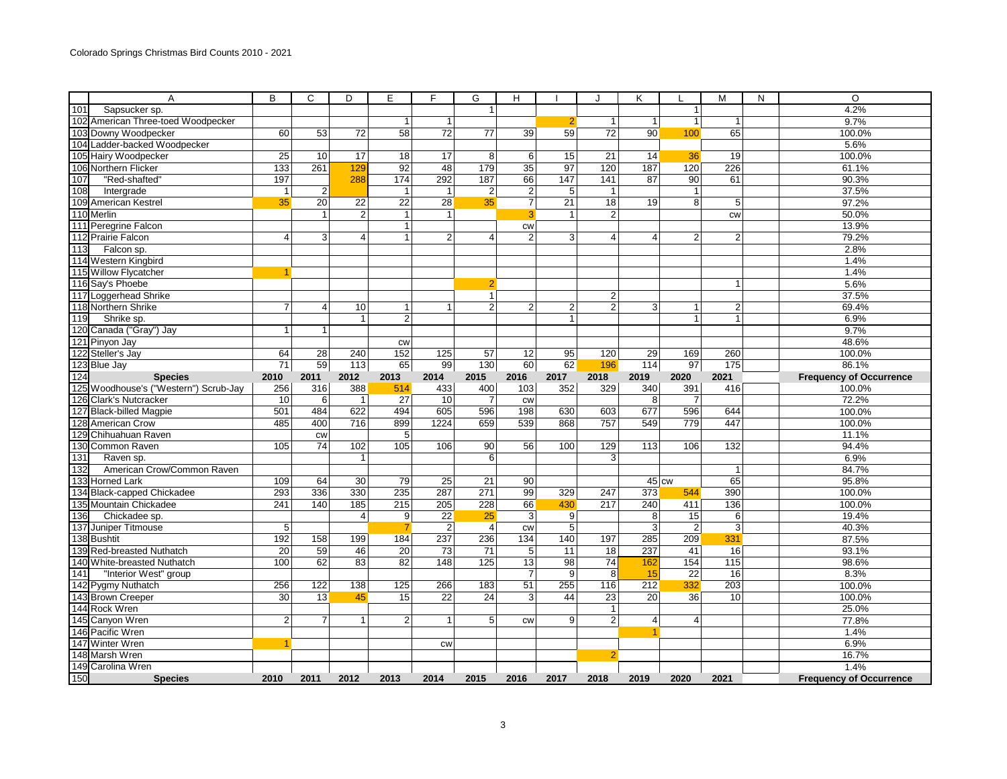|                  | A                                     | B               | C                       | D              | Е               | F               | G               | H               |                | J               | ĸ              |                | м               | N | $\circ$                        |
|------------------|---------------------------------------|-----------------|-------------------------|----------------|-----------------|-----------------|-----------------|-----------------|----------------|-----------------|----------------|----------------|-----------------|---|--------------------------------|
| 101              | Sapsucker sp.                         |                 |                         |                |                 |                 | 1               |                 |                |                 |                | $\mathbf{1}$   |                 |   | 4.2%                           |
|                  | 102 American Three-toed Woodpecker    |                 |                         |                | $\overline{1}$  | $\mathbf{1}$    |                 |                 | $\overline{2}$ | $\mathbf{1}$    | $\mathbf{1}$   | $\mathbf{1}$   | $\mathbf{1}$    |   | 9.7%                           |
|                  | 103 Downy Woodpecker                  | 60              | 53                      | 72             | 58              | 72              | 77              | 39              | 59             | $\overline{72}$ | 90             | 100            | 65              |   | 100.0%                         |
|                  | 104 Ladder-backed Woodpecker          |                 |                         |                |                 |                 |                 |                 |                |                 |                |                |                 |   | 5.6%                           |
|                  | 105 Hairy Woodpecker                  | $\overline{25}$ | 10                      | 17             | 18              | 17              | 8               | 6               | 15             | 21              | 14             | 36             | 19              |   | 100.0%                         |
|                  | 106 Northern Flicker                  | 133             | 261                     | 129            | 92              | 48              | 179             | 35              | 97             | 120             | 187            | 120            | 226             |   | 61.1%                          |
| 107              | "Red-shafted"                         | 197             |                         | 288            | 174             | 292             | 187             | 66              | 147            | 141             | 87             | 90             | 61              |   | 90.3%                          |
| 108              | Intergrade                            | $\mathbf{1}$    | $\overline{c}$          |                | $\overline{1}$  | 1               | $\sqrt{2}$      | $\sqrt{2}$      | 5              | $\mathbf{1}$    |                | $\mathbf{1}$   |                 |   | 37.5%                          |
|                  | 109 American Kestrel                  | 35              | $\overline{20}$         | 22             | $\overline{22}$ | 28              | 35              | $\overline{7}$  | 21             | 18              | 19             | 8              | 5               |   | 97.2%                          |
|                  | 110 Merlin                            |                 | $\mathbf{1}$            | $\overline{2}$ | $\overline{1}$  | 1               |                 | 3               | -1             | $\overline{2}$  |                |                | <b>CW</b>       |   | 50.0%                          |
|                  | 111 Peregrine Falcon                  |                 |                         |                | $\mathbf 1$     |                 |                 | <b>CW</b>       |                |                 |                |                |                 |   | 13.9%                          |
|                  | 112 Prairie Falcon                    | 4               | 3                       | 4              | 1               | 2 <sup>1</sup>  | $\overline{4}$  | $\overline{2}$  | 3              | $\overline{4}$  | 4              | $\overline{2}$ | $\overline{2}$  |   | 79.2%                          |
| 113              | Falcon sp.                            |                 |                         |                |                 |                 |                 |                 |                |                 |                |                |                 |   | 2.8%                           |
|                  | 114 Western Kingbird                  |                 |                         |                |                 |                 |                 |                 |                |                 |                |                |                 |   | 1.4%                           |
|                  | 115 Willow Flycatcher                 |                 |                         |                |                 |                 |                 |                 |                |                 |                |                |                 |   | 1.4%                           |
|                  | 116 Say's Phoebe                      |                 |                         |                |                 |                 | 2               |                 |                |                 |                |                | $\mathbf{1}$    |   | 5.6%                           |
|                  | 117 Loggerhead Shrike                 |                 |                         |                |                 |                 | $\mathbf{1}$    |                 |                | $\overline{2}$  |                |                |                 |   | 37.5%                          |
|                  | 118 Northern Shrike                   | $\overline{7}$  | $\overline{\mathbf{4}}$ | 10             | $\mathbf{1}$    |                 | $\overline{2}$  | $\overline{2}$  | $\overline{c}$ | $\overline{2}$  | $\mathbf{3}$   | $\mathbf{1}$   | $\overline{2}$  |   | 69.4%                          |
| $\boxed{119}$    | Shrike sp.                            |                 |                         | $\mathbf{1}$   | $\overline{2}$  |                 |                 |                 | $\mathbf{1}$   |                 |                | $\mathbf{1}$   | $\mathbf{1}$    |   | 6.9%                           |
|                  | 120 Canada ("Gray") Jay               | $\overline{1}$  | $\mathbf{1}$            |                |                 |                 |                 |                 |                |                 |                |                |                 |   | 9.7%                           |
|                  | 121 Pinyon Jay                        |                 |                         |                | <b>CW</b>       |                 |                 |                 |                |                 |                |                |                 |   | 48.6%                          |
|                  | 122 Steller's Jay                     | 64              | $\overline{28}$         | 240            | 152             | 125             | 57              | $\overline{12}$ | 95             | 120             | 29             | 169            | 260             |   | 100.0%                         |
|                  | 123 Blue Jay                          | $\overline{71}$ | 59                      | 113            | 65              | 99              | 130             | 60              | 62             | 196             | 114            | 97             | 175             |   | 86.1%                          |
| 124              | <b>Species</b>                        | 2010            | 2011                    | 2012           | 2013            | 2014            | 2015            | 2016            | 2017           | 2018            | 2019           | 2020           | 2021            |   | <b>Frequency of Occurrence</b> |
|                  | 125 Woodhouse's ("Western") Scrub-Jay | 256             | 316                     | 388            | 514             | 433             | 400             | 103             | 352            | 329             | 340            | 391            | 416             |   | 100.0%                         |
|                  | 126 Clark's Nutcracker                | 10              | 6                       | $\overline{1}$ | 27              | 10 <sup>1</sup> | 7               | <b>CW</b>       |                |                 | 8              | $\overline{7}$ |                 |   | 72.2%                          |
|                  | 127 Black-billed Magpie               | 501             | 484                     | 622            | 494             | 605             | 596             | 198             | 630            | 603             | 677            | 596            | 644             |   | 100.0%                         |
|                  | 128 American Crow                     | 485             | 400                     | 716            | 899             | 1224            | 659             | 539             | 868            | 757             | 549            | 779            | 447             |   | 100.0%                         |
|                  | 129 Chihuahuan Raven                  |                 | <b>CW</b>               |                | $5\overline{)}$ |                 |                 |                 |                |                 |                |                |                 |   | 11.1%                          |
|                  | 130 Common Raven                      | 105             | 74                      | 102            | 105             | 106             | 90              | 56              | 100            | 129             | 113            | 106            | 132             |   | 94.4%                          |
| 131              | Raven sp.                             |                 |                         | $\mathbf{1}$   |                 |                 | 6               |                 |                | 3               |                |                |                 |   | 6.9%                           |
| 132              | American Crow/Common Raven            |                 |                         |                |                 |                 |                 |                 |                |                 |                |                | $\mathbf{1}$    |   | 84.7%                          |
|                  | 133 Horned Lark                       | 109             | 64                      | 30             | 79              | 25              | 21              | 90              |                |                 | 45 cw          |                | 65              |   | 95.8%                          |
|                  | 134 Black-capped Chickadee            | 293             | 336                     | 330            | 235             | 287             | 271             | 99              | 329            | 247             | 373            | 544            | 390             |   | 100.0%                         |
|                  | 135 Mountain Chickadee                | 241             | 140                     | 185            | 215             | 205             | 228             | 66              | 430            | 217             | 240            | 411            | 136             |   | 100.0%                         |
| 136              | Chickadee sp.                         |                 |                         | $\overline{4}$ | 9               | $\overline{22}$ | 25              | 3               | 9              |                 | 8              | 15             | 6               |   | 19.4%                          |
|                  | 137 Juniper Titmouse                  | 5               |                         |                |                 | 2 <sub>l</sub>  | $\overline{4}$  | CW              | 5              |                 | 3              | $\overline{2}$ | 3               |   | 40.3%                          |
|                  | 138 Bushtit                           | 192             | 158                     | 199            | 184             | 237             | 236             | 134             | 140            | 197             | 285            | 209            | 331             |   | 87.5%                          |
|                  | 139 Red-breasted Nuthatch             | 20              | 59                      | 46             | $\overline{20}$ | 73              | $\overline{71}$ | 5               | 11             | 18              | 237            | 41             | 16              |   | 93.1%                          |
|                  | 140 White-breasted Nuthatch           | 100             | 62                      | 83             | 82              | 148             | 125             | 13              | 98             | 74              | 162            | 154            | 115             |   | 98.6%                          |
| $\overline{141}$ | "Interior West" group                 |                 |                         |                |                 |                 |                 | $\overline{7}$  | $\overline{9}$ | $\overline{8}$  | 15             | 22             | $\overline{16}$ |   | 8.3%                           |
|                  | 142 Pygmy Nuthatch                    | 256             | 122                     | 138            | 125             | 266             | 183             | 51              | 255            | 116             | 212            | 332            | 203             |   | 100.0%                         |
|                  | 143 Brown Creeper                     | 30              | 13                      | 45             | 15              | $\overline{22}$ | $\overline{24}$ | 3               | 44             | 23              | 20             | 36             | 10              |   | 100.0%                         |
|                  | 144 Rock Wren                         |                 |                         |                |                 |                 |                 |                 |                | $\mathbf{1}$    |                |                |                 |   | 25.0%                          |
|                  | 145 Canyon Wren                       | $\overline{2}$  | $\overline{7}$          | $\mathbf{1}$   | $\overline{2}$  | 1               | 5               | CW              | 9              | $\overline{2}$  | $\overline{4}$ | $\overline{4}$ |                 |   | 77.8%                          |
|                  | 146 Pacific Wren                      |                 |                         |                |                 |                 |                 |                 |                |                 |                |                |                 |   | 1.4%                           |
|                  | 147 Winter Wren                       |                 |                         |                |                 | <b>CW</b>       |                 |                 |                |                 |                |                |                 |   | 6.9%                           |
|                  | 148 Marsh Wren                        |                 |                         |                |                 |                 |                 |                 |                | $\overline{2}$  |                |                |                 |   | 16.7%                          |
|                  | 149 Carolina Wren                     |                 |                         |                |                 |                 |                 |                 |                |                 |                |                |                 |   | 1.4%                           |
| 150              | <b>Species</b>                        | 2010            | 2011                    | 2012           | 2013            | 2014            | 2015            | 2016            | 2017           | 2018            | 2019           | 2020           | 2021            |   | <b>Frequency of Occurrence</b> |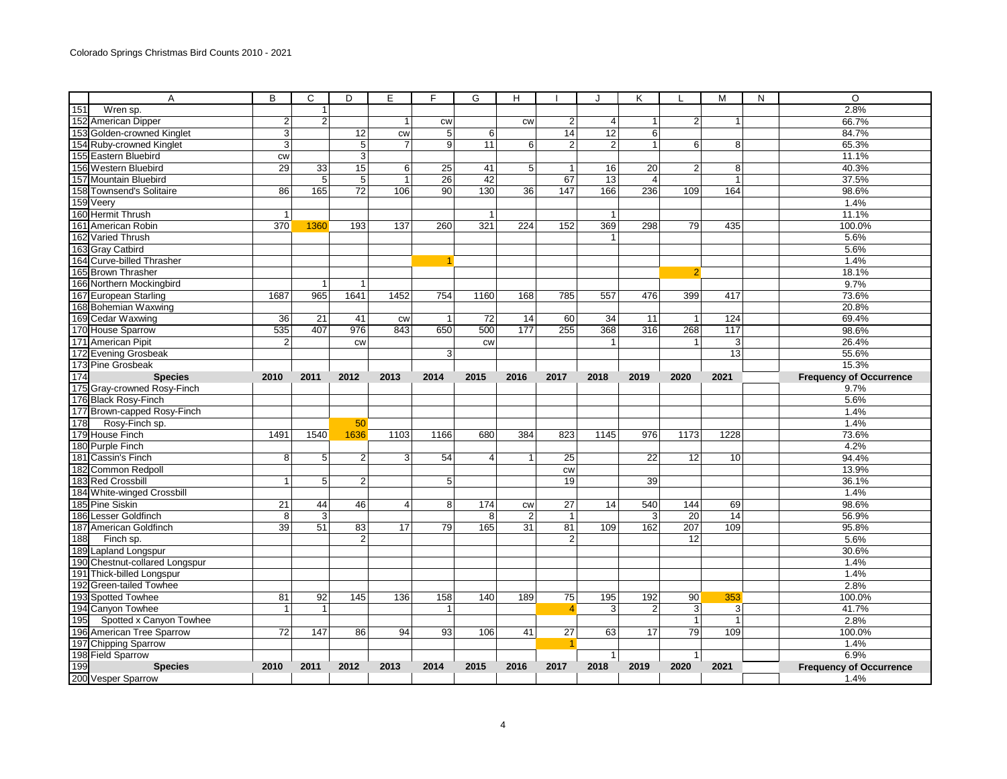|     | Α                                                    | B              | C              | D               | E              | F              | G            | н                    |                | J              | K              | L              | M              | N | O                              |
|-----|------------------------------------------------------|----------------|----------------|-----------------|----------------|----------------|--------------|----------------------|----------------|----------------|----------------|----------------|----------------|---|--------------------------------|
| 151 | $\overline{W}$ ren sp.                               |                | $\mathbf{1}$   |                 |                |                |              |                      |                |                |                |                |                |   | 2.8%                           |
|     | 152 American Dipper                                  | $\overline{2}$ | $\overline{2}$ |                 | $\mathbf{1}$   | CW             |              | CW                   | 2 <sub>1</sub> | $\overline{4}$ | 1              | $\overline{2}$ | -1             |   | 66.7%                          |
|     | 153 Golden-crowned Kinglet                           | 3              |                | 12              | <b>CW</b>      | 5              | 6            |                      | 14             | 12             | 6              |                |                |   | 84.7%                          |
|     | 154 Ruby-crowned Kinglet                             | 3              |                | 5               | $\overline{7}$ | 9              | 11           | 6                    | $\overline{2}$ | $\overline{2}$ | $\mathbf{1}$   | 6              | 8              |   | 65.3%                          |
|     | 155 Eastern Bluebird                                 | <b>CW</b>      |                | 3               |                |                |              |                      |                |                |                |                |                |   | 11.1%                          |
|     | 156 Western Bluebird                                 | 29             | 33             | 15              | 6              | 25             | 41           | 5 <sup>1</sup>       | $\vert$        | 16             | 20             | $\overline{2}$ | 8              |   | 40.3%                          |
|     | 157 Mountain Bluebird                                |                | $\overline{5}$ | $\overline{5}$  | 1              | 26             | 42           |                      | 67             | 13             | $\overline{4}$ |                | $\overline{1}$ |   | 37.5%                          |
|     | 158 Townsend's Solitaire                             | 86             | 165            | $\overline{72}$ | 106            | 90             | 130          | 36                   | 147            | 166            | 236            | 109            | 164            |   | 98.6%                          |
|     | 159 Veery                                            |                |                |                 |                |                |              |                      |                |                |                |                |                |   | 1.4%                           |
|     | 160 Hermit Thrush                                    | $\overline{1}$ |                |                 |                |                | $\mathbf{1}$ |                      |                | $\mathbf{1}$   |                |                |                |   | 11.1%                          |
|     | 161 American Robin                                   | 370            | 1360           | 193             | 137            | 260            | 321          | 224                  | 152            | 369            | 298            | 79             | 435            |   | 100.0%                         |
|     | 162 Varied Thrush                                    |                |                |                 |                |                |              |                      |                | $\mathbf{1}$   |                |                |                |   | 5.6%                           |
|     | 163 Gray Catbird                                     |                |                |                 |                |                |              |                      |                |                |                |                |                |   | 5.6%                           |
|     | 164 Curve-billed Thrasher                            |                |                |                 |                |                |              |                      |                |                |                |                |                |   | 1.4%                           |
|     | 165 Brown Thrasher                                   |                |                |                 |                |                |              |                      |                |                |                | $\overline{2}$ |                |   | 18.1%                          |
|     | 166 Northern Mockingbird                             |                | $\mathbf{1}$   | $\overline{1}$  |                |                |              |                      |                |                |                |                |                |   | 9.7%                           |
|     | 167 European Starling                                | 1687           | 965            | 1641            | 1452           | 754            | 1160         | 168                  | 785            | 557            | 476            | 399            | 417            |   | 73.6%                          |
|     | 168 Bohemian Waxwing                                 |                |                |                 |                |                |              |                      |                |                |                |                |                |   | 20.8%                          |
|     | 169 Cedar Waxwing                                    | 36             | 21             | 41              | CW             | $\overline{1}$ | 72           | 14                   | 60             | 34             | 11             | $\overline{1}$ | 124            |   | 69.4%                          |
|     | 170 House Sparrow                                    | 535            | 407            | 976             | 843            | 650            | 500          | 177                  | 255            | 368            | 316            | 268            | 117            |   | 98.6%                          |
|     | 171 American Pipit                                   | $\overline{2}$ |                | <b>CW</b>       |                |                | <b>CW</b>    |                      |                | $\mathbf{1}$   |                | $\mathbf{1}$   | 3              |   | 26.4%                          |
|     | 172 Evening Grosbeak                                 |                |                |                 |                | 3              |              |                      |                |                |                |                | 13             |   | 55.6%                          |
|     | 173 Pine Grosbeak                                    |                |                |                 |                |                |              |                      |                |                |                |                |                |   | 15.3%                          |
| 174 | <b>Species</b>                                       | 2010           | 2011           | 2012            | 2013           | 2014           | 2015         | 2016                 | 2017           | 2018           | 2019           | 2020           | 2021           |   | <b>Frequency of Occurrence</b> |
|     | 175 Gray-crowned Rosy-Finch                          |                |                |                 |                |                |              |                      |                |                |                |                |                |   | 9.7%                           |
|     | 176 Black Rosy-Finch                                 |                |                |                 |                |                |              |                      |                |                |                |                |                |   | 5.6%                           |
|     | 177 Brown-capped Rosy-Finch                          |                |                |                 |                |                |              |                      |                |                |                |                |                |   | 1.4%                           |
| 178 | Rosy-Finch sp.                                       |                |                | 50              |                |                |              |                      |                |                |                |                |                |   | 1.4%                           |
|     | 179 House Finch                                      | 1491           | 1540           | 1636            | 1103           | 1166           | 680          | 384                  | 823            | 1145           | 976            | 1173           | 1228           |   | 73.6%                          |
|     | 180 Purple Finch                                     |                |                |                 |                |                |              |                      |                |                |                |                |                |   | 4.2%                           |
|     | 181 Cassin's Finch                                   | 8              | 5              | $\overline{2}$  | 3 <sup>1</sup> | 54             | 4            | $\mathbf{1}$         | 25             |                | 22             | 12             | 10             |   | 94.4%                          |
|     | 182 Common Redpoll                                   |                |                |                 |                |                |              |                      | <b>CW</b>      |                |                |                |                |   | 13.9%                          |
|     | 183 Red Crossbill                                    | 1              | 5              | $\overline{2}$  |                | 5 <sup>5</sup> |              |                      | 19             |                | 39             |                |                |   | 36.1%                          |
|     | 184 White-winged Crossbill                           |                |                |                 |                |                |              |                      |                |                |                |                |                |   | 1.4%                           |
|     | 185 Pine Siskin                                      | 21             | 44             | 46              | $\overline{4}$ | 8 <sup>1</sup> | 174          |                      | 27             | 14             | 540            | 144            | 69             |   | 98.6%                          |
|     | 186 Lesser Goldfinch                                 | 8              | $\overline{3}$ |                 |                |                | 8            | CW<br>$\overline{c}$ | $\mathbf{1}$   |                | 3              | 20             | 14             |   | 56.9%                          |
|     | 187 American Goldfinch                               | 39             | 51             | 83              | 17             | 79             | 165          | 31                   | 81             | 109            | 162            | 207            | 109            |   | 95.8%                          |
| 188 | Finch sp.                                            |                |                | $\overline{2}$  |                |                |              |                      | $\overline{2}$ |                |                | 12             |                |   | 5.6%                           |
|     | 189 Lapland Longspur                                 |                |                |                 |                |                |              |                      |                |                |                |                |                |   | 30.6%                          |
|     | 190 Chestnut-collared Longspur                       |                |                |                 |                |                |              |                      |                |                |                |                |                |   | 1.4%                           |
|     | 191 Thick-billed Longspur                            |                |                |                 |                |                |              |                      |                |                |                |                |                |   | 1.4%                           |
|     | 192 Green-tailed Towhee                              |                |                |                 |                |                |              |                      |                |                |                |                |                |   | 2.8%                           |
|     | 193 Spotted Towhee                                   | 81             | 92             | 145             | 136            | 158            | 140          | 189                  | 75             | 195            | 192            | 90             | 353            |   | 100.0%                         |
|     | 194 Canyon Towhee                                    | $\overline{1}$ | $\mathbf{1}$   |                 |                |                |              |                      | $\overline{4}$ | 3              | $\overline{2}$ | $\overline{3}$ | 3              |   | 41.7%                          |
| 195 |                                                      |                |                |                 |                |                |              |                      |                |                |                | $\mathbf{1}$   | $\overline{1}$ |   | 2.8%                           |
|     | Spotted x Canyon Towhee<br>196 American Tree Sparrow | 72             |                |                 | 94             |                |              |                      |                |                |                | 79             |                |   |                                |
|     |                                                      |                | 147            | 86              |                | 93             | 106          | 41                   | 27             | 63             | 17             |                | 109            |   | 100.0%                         |
|     | 197 Chipping Sparrow                                 |                |                |                 |                |                |              |                      |                |                |                |                |                |   | 1.4%                           |
|     | 198 Field Sparrow                                    |                |                |                 |                |                |              |                      |                | 1              |                | $\mathbf{1}$   |                |   | 6.9%                           |
| 199 | <b>Species</b>                                       | 2010           | 2011           | 2012            | 2013           | 2014           | 2015         | 2016                 | 2017           | 2018           | 2019           | 2020           | 2021           |   | <b>Frequency of Occurrence</b> |
|     | 200 Vesper Sparrow                                   |                |                |                 |                |                |              |                      |                |                |                |                |                |   | 1.4%                           |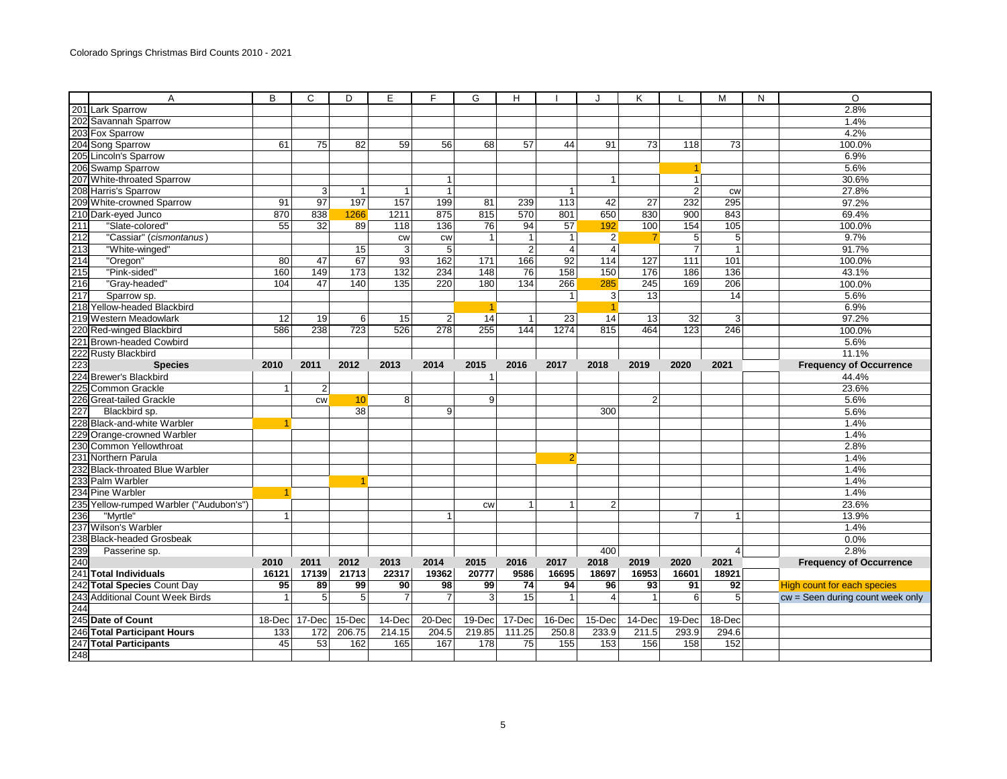|     | A                                       | B               | C               | D               | E               | F              | G              | H              |                 |                | K               |                      | M                     | N | $\overline{O}$                     |
|-----|-----------------------------------------|-----------------|-----------------|-----------------|-----------------|----------------|----------------|----------------|-----------------|----------------|-----------------|----------------------|-----------------------|---|------------------------------------|
|     | 201 Lark Sparrow                        |                 |                 |                 |                 |                |                |                |                 |                |                 |                      |                       |   | 2.8%                               |
|     | 202 Savannah Sparrow                    |                 |                 |                 |                 |                |                |                |                 |                |                 |                      |                       |   | 1.4%                               |
|     | 203 Fox Sparrow                         |                 |                 |                 |                 |                |                |                |                 |                |                 |                      |                       |   | 4.2%                               |
|     | 204 Song Sparrow                        | 61              | $\overline{75}$ | 82              | 59              | 56             | 68             | 57             | 44              | 91             | $\overline{73}$ | 118                  | 73                    |   | 100.0%                             |
|     | 205 Lincoln's Sparrow                   |                 |                 |                 |                 |                |                |                |                 |                |                 |                      |                       |   | 6.9%                               |
|     | 206 Swamp Sparrow                       |                 |                 |                 |                 |                |                |                |                 |                |                 | $\blacktriangleleft$ |                       |   | 5.6%                               |
|     | 207 White-throated Sparrow              |                 |                 |                 |                 | $\mathbf{1}$   |                |                |                 | $\mathbf{1}$   |                 | $\mathbf{1}$         |                       |   | 30.6%                              |
|     | 208 Harris's Sparrow                    |                 | $\mathbf{3}$    | $\mathbf{1}$    | $\overline{1}$  | $\mathbf{1}$   |                |                | $\mathbf{1}$    |                |                 | $\overline{2}$       | <b>CW</b>             |   | 27.8%                              |
|     | 209 White-crowned Sparrow               | 91              | 97              | 197             | 157             | 199            | 81             | 239            | 113             | 42             | $\overline{27}$ | 232                  | 295                   |   | 97.2%                              |
|     | 210 Dark-eyed Junco                     | 870             | 838             | 1266            | 1211            | 875            | 815            | 570            | 801             | 650            | 830             | 900                  | 843                   |   | 69.4%                              |
| 211 | "Slate-colored"                         | $\overline{55}$ | $\overline{32}$ | 89              | 118             | 136            | 76             | 94             | $\overline{57}$ | 192            | 100             | 154                  | 105                   |   | 100.0%                             |
| 212 | "Cassiar" (cismontanus)                 |                 |                 |                 | <b>CW</b>       | <b>CW</b>      | 1              | $\mathbf{1}$   | $\mathbf{1}$    | $\overline{2}$ | $\overline{7}$  | 5                    | 5                     |   | 9.7%                               |
| 213 | "White-winged"                          |                 |                 | 15              | $\overline{3}$  | 5 <sup>5</sup> |                | $\overline{2}$ | $\overline{4}$  | $\overline{4}$ |                 | $\overline{7}$       | $\overline{1}$        |   | 91.7%                              |
| 214 | "Oregon"                                | 80              | 47              | 67              | $\overline{93}$ | 162            | 171            | 166            | $\overline{92}$ | 114            | 127             | 111                  | 101                   |   | 100.0%                             |
| 215 | "Pink-sided"                            | 160             | 149             | 173             | 132             | 234            | 148            | 76             | 158             | 150            | 176             | 186                  | 136                   |   | 43.1%                              |
| 216 | "Gray-headed"                           | 104             | 47              | 140             | 135             | 220            | 180            | 134            | 266             | 285            | 245             | 169                  | 206                   |   | 100.0%                             |
| 217 | Sparrow sp.                             |                 |                 |                 |                 |                |                |                | $\mathbf{1}$    | 3              | 13              |                      | 14                    |   | 5.6%                               |
|     | 218 Yellow-headed Blackbird             |                 |                 |                 |                 |                |                |                |                 | 1              |                 |                      |                       |   | 6.9%                               |
|     | 219 Western Meadowlark                  | 12              | 19              | 6               | 15              | $\overline{2}$ | 14             | 1              | $\overline{23}$ | 14             | 13              | $\overline{32}$      | 3                     |   | 97.2%                              |
|     | 220 Red-winged Blackbird                | 586             | 238             | 723             | 526             | 278            | 255            | 144            | 1274            | 815            | 464             | 123                  | 246                   |   | 100.0%                             |
| 221 | <b>Brown-headed Cowbird</b>             |                 |                 |                 |                 |                |                |                |                 |                |                 |                      |                       |   | 5.6%                               |
|     | 222 Rusty Blackbird                     |                 |                 |                 |                 |                |                |                |                 |                |                 |                      |                       |   | 11.1%                              |
| 223 | <b>Species</b>                          | 2010            | 2011            | 2012            | 2013            | 2014           | 2015           | 2016           | 2017            | 2018           | 2019            | 2020                 | 2021                  |   | <b>Frequency of Occurrence</b>     |
| 224 | <b>Brewer's Blackbird</b>               |                 |                 |                 |                 |                | 1              |                |                 |                |                 |                      |                       |   | 44.4%                              |
|     | 225 Common Grackle                      |                 | $\overline{2}$  |                 |                 |                |                |                |                 |                |                 |                      |                       |   | 23.6%                              |
|     | 226 Great-tailed Grackle                |                 | <b>CW</b>       | 10 <sup>1</sup> | 8               |                | $\overline{9}$ |                |                 |                | $\overline{2}$  |                      |                       |   | 5.6%                               |
| 227 | Blackbird sp.                           |                 |                 | 38              |                 | 9 <sup>1</sup> |                |                |                 | 300            |                 |                      |                       |   | 5.6%                               |
|     | 228 Black-and-white Warbler             |                 |                 |                 |                 |                |                |                |                 |                |                 |                      |                       |   | 1.4%                               |
|     | 229 Orange-crowned Warbler              |                 |                 |                 |                 |                |                |                |                 |                |                 |                      |                       |   | 1.4%                               |
|     | 230 Common Yellowthroat                 |                 |                 |                 |                 |                |                |                |                 |                |                 |                      |                       |   | 2.8%                               |
|     | 231 Northern Parula                     |                 |                 |                 |                 |                |                |                | 2               |                |                 |                      |                       |   | 1.4%                               |
|     | 232 Black-throated Blue Warbler         |                 |                 |                 |                 |                |                |                |                 |                |                 |                      |                       |   | 1.4%                               |
|     | 233 Palm Warbler                        |                 |                 |                 |                 |                |                |                |                 |                |                 |                      |                       |   | 1.4%                               |
|     | 234 Pine Warbler                        |                 |                 |                 |                 |                |                |                |                 |                |                 |                      |                       |   | 1.4%                               |
|     | 235 Yellow-rumped Warbler ("Audubon's") |                 |                 |                 |                 |                | CW             | $\mathbf{1}$   | $\mathbf{1}$    | $\overline{2}$ |                 |                      |                       |   | 23.6%                              |
| 236 | "Myrtle"                                | $\overline{1}$  |                 |                 |                 | 1              |                |                |                 |                |                 | $\overline{7}$       | $\mathbf 1$           |   | 13.9%                              |
|     | 237 Wilson's Warbler                    |                 |                 |                 |                 |                |                |                |                 |                |                 |                      |                       |   | 1.4%                               |
|     | 238 Black-headed Grosbeak               |                 |                 |                 |                 |                |                |                |                 |                |                 |                      |                       |   | 0.0%                               |
| 239 | Passerine sp.                           |                 |                 |                 |                 |                |                |                |                 | 400            |                 |                      | $\boldsymbol{\Delta}$ |   | 2.8%                               |
| 240 |                                         | 2010            | 2011            | 2012            | 2013            | 2014           | 2015           | 2016           | 2017            | 2018           | 2019            | 2020                 | 2021                  |   | <b>Frequency of Occurrence</b>     |
| 241 | <b>Total Individuals</b>                | 16121           | 17139           | 21713           | 22317           | 19362          | 20777          | 9586           | 16695           | 18697          | 16953           | 16601                | 18921                 |   |                                    |
|     | 242 Total Species Count Day             | 95              | 89              | 99              | 90              | 98             | 99             | 74             | 94              | 96             | 93              | 91                   | 92                    |   | <b>High count for each species</b> |
| 243 | <b>Additional Count Week Birds</b>      |                 | 5               | 5               | $\overline{7}$  | 7              | 3              | 15             | 1               | $\overline{4}$ |                 | 6                    | 5                     |   | cw = Seen during count week only   |
| 244 |                                         |                 |                 |                 |                 |                |                |                |                 |                |                 |                      |                       |   |                                    |
|     | 245 Date of Count                       | $18$ -Dec       | 17-Dec          | 15-Dec          | 14-Dec          | 20-Dec         | $19$ -Dec      | 17-Dec         | 16-Dec          | $15$ -Dec      | 14-Dec          | 19-Dec               | 18-Dec                |   |                                    |
|     | 246 Total Participant Hours             | 133             | 172             | 206.75          | 214.15          | 204.5          | 219.85         | 111.25         | 250.8           | 233.9          | 211.5           | 293.9                | 294.6                 |   |                                    |
| 247 | <b>Total Participants</b>               | 45              | 53              | 162             | 165             | 167            | 178            | 75             | 155             | 153            | 156             | 158                  | 152                   |   |                                    |
| 248 |                                         |                 |                 |                 |                 |                |                |                |                 |                |                 |                      |                       |   |                                    |